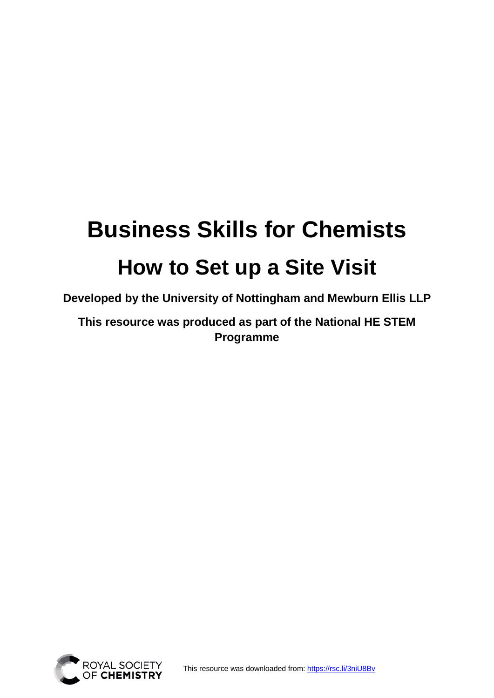# **Business Skills for Chemists How to Set up a Site Visit**

**Developed by the University of Nottingham and Mewburn Ellis LLP**

**This resource was produced as part of the National HE STEM Programme** 



This resource was downloaded from:<https://rsc.li/3niU8Bv>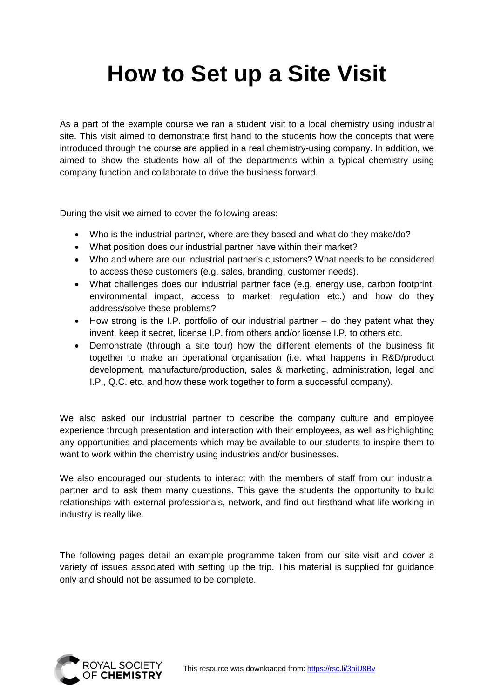# **How to Set up a Site Visit**

As a part of the example course we ran a student visit to a local chemistry using industrial site. This visit aimed to demonstrate first hand to the students how the concepts that were introduced through the course are applied in a real chemistry-using company. In addition, we aimed to show the students how all of the departments within a typical chemistry using company function and collaborate to drive the business forward.

During the visit we aimed to cover the following areas:

- Who is the industrial partner, where are they based and what do they make/do?
- What position does our industrial partner have within their market?
- Who and where are our industrial partner's customers? What needs to be considered to access these customers (e.g. sales, branding, customer needs).
- What challenges does our industrial partner face (e.g. energy use, carbon footprint, environmental impact, access to market, regulation etc.) and how do they address/solve these problems?
- How strong is the I.P. portfolio of our industrial partner do they patent what they invent, keep it secret, license I.P. from others and/or license I.P. to others etc.
- Demonstrate (through a site tour) how the different elements of the business fit together to make an operational organisation (i.e. what happens in R&D/product development, manufacture/production, sales & marketing, administration, legal and I.P., Q.C. etc. and how these work together to form a successful company).

We also asked our industrial partner to describe the company culture and employee experience through presentation and interaction with their employees, as well as highlighting any opportunities and placements which may be available to our students to inspire them to want to work within the chemistry using industries and/or businesses.

We also encouraged our students to interact with the members of staff from our industrial partner and to ask them many questions. This gave the students the opportunity to build relationships with external professionals, network, and find out firsthand what life working in industry is really like.

The following pages detail an example programme taken from our site visit and cover a variety of issues associated with setting up the trip. This material is supplied for guidance only and should not be assumed to be complete.

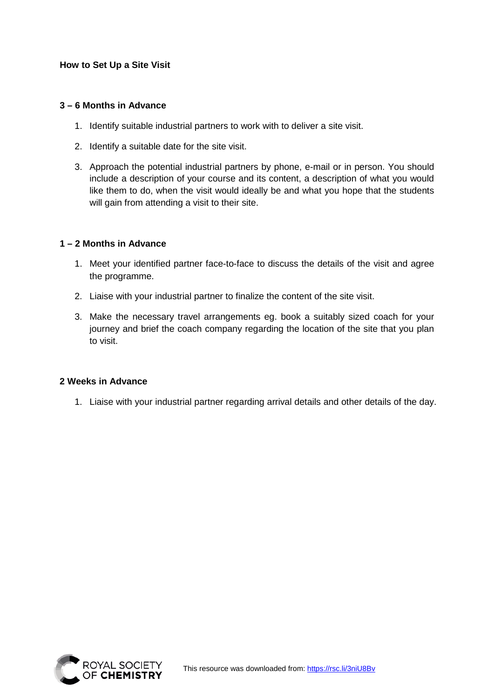# **How to Set Up a Site Visit**

## **3 – 6 Months in Advance**

- 1. Identify suitable industrial partners to work with to deliver a site visit.
- 2. Identify a suitable date for the site visit.
- 3. Approach the potential industrial partners by phone, e-mail or in person. You should include a description of your course and its content, a description of what you would like them to do, when the visit would ideally be and what you hope that the students will gain from attending a visit to their site.

#### **1 – 2 Months in Advance**

- 1. Meet your identified partner face-to-face to discuss the details of the visit and agree the programme.
- 2. Liaise with your industrial partner to finalize the content of the site visit.
- 3. Make the necessary travel arrangements eg. book a suitably sized coach for your journey and brief the coach company regarding the location of the site that you plan to visit.

#### **2 Weeks in Advance**

1. Liaise with your industrial partner regarding arrival details and other details of the day.

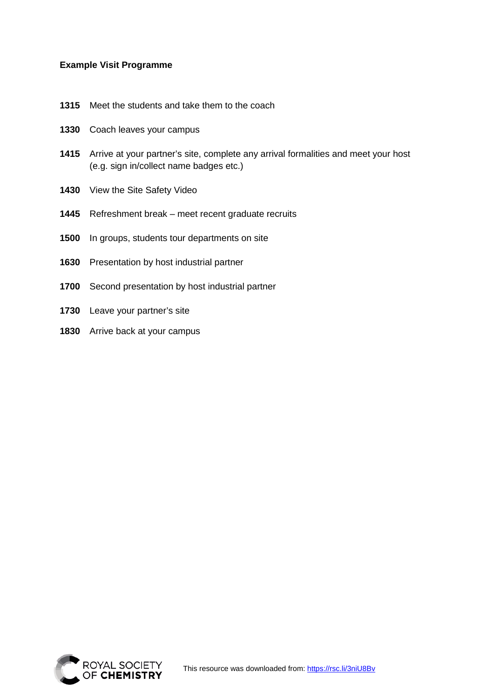## **Example Visit Programme**

- Meet the students and take them to the coach
- Coach leaves your campus
- Arrive at your partner's site, complete any arrival formalities and meet your host (e.g. sign in/collect name badges etc.)
- View the Site Safety Video
- Refreshment break meet recent graduate recruits
- In groups, students tour departments on site
- Presentation by host industrial partner
- Second presentation by host industrial partner
- Leave your partner's site
- Arrive back at your campus

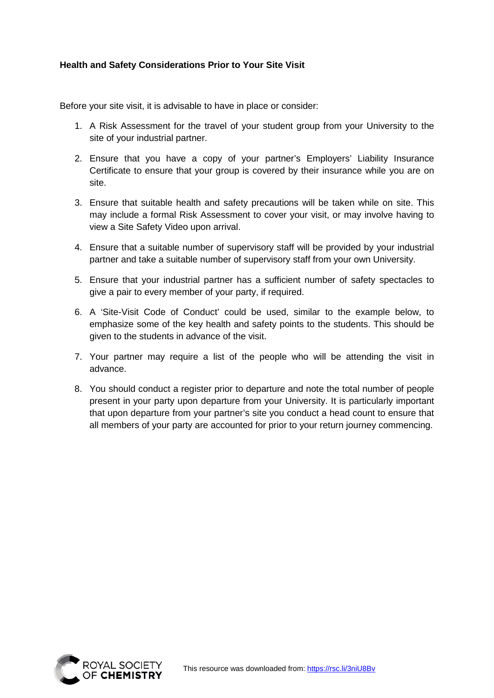# **Health and Safety Considerations Prior to Your Site Visit**

Before your site visit, it is advisable to have in place or consider:

- 1. A Risk Assessment for the travel of your student group from your University to the site of your industrial partner.
- 2. Ensure that you have a copy of your partner's Employers' Liability Insurance Certificate to ensure that your group is covered by their insurance while you are on site.
- 3. Ensure that suitable health and safety precautions will be taken while on site. This may include a formal Risk Assessment to cover your visit, or may involve having to view a Site Safety Video upon arrival.
- 4. Ensure that a suitable number of supervisory staff will be provided by your industrial partner and take a suitable number of supervisory staff from your own University.
- 5. Ensure that your industrial partner has a sufficient number of safety spectacles to give a pair to every member of your party, if required.
- 6. A 'Site-Visit Code of Conduct' could be used, similar to the example below, to emphasize some of the key health and safety points to the students. This should be given to the students in advance of the visit.
- 7. Your partner may require a list of the people who will be attending the visit in advance.
- 8. You should conduct a register prior to departure and note the total number of people present in your party upon departure from your University. It is particularly important that upon departure from your partner's site you conduct a head count to ensure that all members of your party are accounted for prior to your return journey commencing.